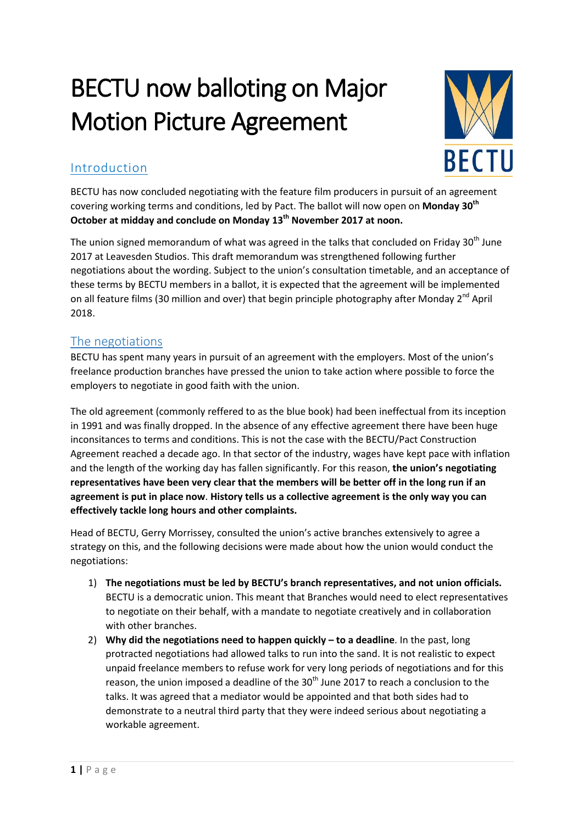# BECTU now balloting on Major Motion Picture Agreement



# Introduction

BECTU has now concluded negotiating with the feature film producers in pursuit of an agreement covering working terms and conditions, led by Pact. The ballot will now open on **Monday 30th October at midday and conclude on Monday 13th November 2017 at noon.**

The union signed memorandum of what was agreed in the talks that concluded on Friday 30<sup>th</sup> June 2017 at Leavesden Studios. This draft memorandum was strengthened following further negotiations about the wording. Subject to the union's consultation timetable, and an acceptance of these terms by BECTU members in a ballot, it is expected that the agreement will be implemented on all feature films (30 million and over) that begin principle photography after Monday 2<sup>nd</sup> April 2018.

# The negotiations

BECTU has spent many years in pursuit of an agreement with the employers. Most of the union's freelance production branches have pressed the union to take action where possible to force the employers to negotiate in good faith with the union.

The old agreement (commonly reffered to as the blue book) had been ineffectual from its inception in 1991 and was finally dropped. In the absence of any effective agreement there have been huge inconsitances to terms and conditions. This is not the case with the BECTU/Pact Construction Agreement reached a decade ago. In that sector of the industry, wages have kept pace with inflation and the length of the working day has fallen significantly. For this reason, **the union's negotiating representatives have been very clear that the members will be better off in the long run if an agreement is put in place now**. **History tells us a collective agreement is the only way you can effectively tackle long hours and other complaints.**

Head of BECTU, Gerry Morrissey, consulted the union's active branches extensively to agree a strategy on this, and the following decisions were made about how the union would conduct the negotiations:

- 1) **The negotiations must be led by BECTU's branch representatives, and not union officials.** BECTU is a democratic union. This meant that Branches would need to elect representatives to negotiate on their behalf, with a mandate to negotiate creatively and in collaboration with other branches.
- 2) **Why did the negotiations need to happen quickly – to a deadline**. In the past, long protracted negotiations had allowed talks to run into the sand. It is not realistic to expect unpaid freelance members to refuse work for very long periods of negotiations and for this reason, the union imposed a deadline of the  $30<sup>th</sup>$  June 2017 to reach a conclusion to the talks. It was agreed that a mediator would be appointed and that both sides had to demonstrate to a neutral third party that they were indeed serious about negotiating a workable agreement.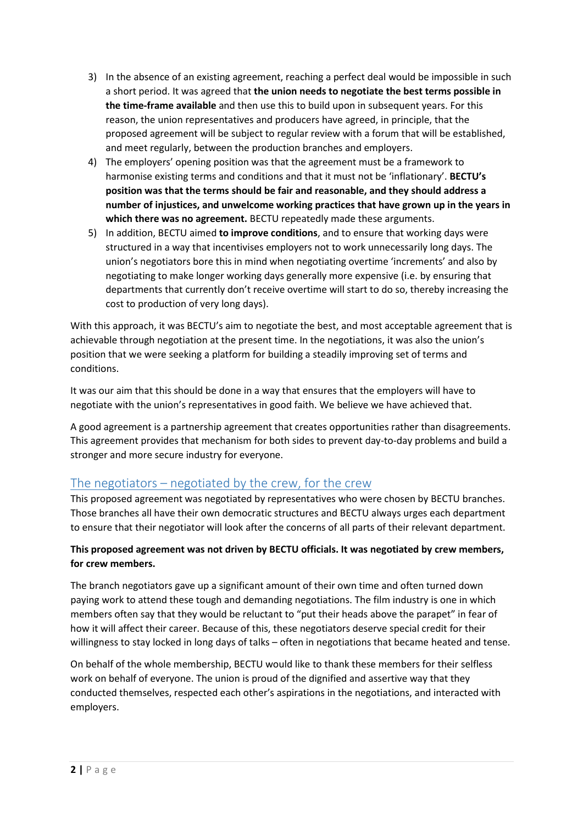- 3) In the absence of an existing agreement, reaching a perfect deal would be impossible in such a short period. It was agreed that **the union needs to negotiate the best terms possible in the time-frame available** and then use this to build upon in subsequent years. For this reason, the union representatives and producers have agreed, in principle, that the proposed agreement will be subject to regular review with a forum that will be established, and meet regularly, between the production branches and employers.
- 4) The employers' opening position was that the agreement must be a framework to harmonise existing terms and conditions and that it must not be 'inflationary'. **BECTU's position was that the terms should be fair and reasonable, and they should address a number of injustices, and unwelcome working practices that have grown up in the years in which there was no agreement.** BECTU repeatedly made these arguments.
- 5) In addition, BECTU aimed **to improve conditions**, and to ensure that working days were structured in a way that incentivises employers not to work unnecessarily long days. The union's negotiators bore this in mind when negotiating overtime 'increments' and also by negotiating to make longer working days generally more expensive (i.e. by ensuring that departments that currently don't receive overtime will start to do so, thereby increasing the cost to production of very long days).

With this approach, it was BECTU's aim to negotiate the best, and most acceptable agreement that is achievable through negotiation at the present time. In the negotiations, it was also the union's position that we were seeking a platform for building a steadily improving set of terms and conditions.

It was our aim that this should be done in a way that ensures that the employers will have to negotiate with the union's representatives in good faith. We believe we have achieved that.

A good agreement is a partnership agreement that creates opportunities rather than disagreements. This agreement provides that mechanism for both sides to prevent day-to-day problems and build a stronger and more secure industry for everyone.

# The negotiators – negotiated by the crew, for the crew

This proposed agreement was negotiated by representatives who were chosen by BECTU branches. Those branches all have their own democratic structures and BECTU always urges each department to ensure that their negotiator will look after the concerns of all parts of their relevant department.

#### **This proposed agreement was not driven by BECTU officials. It was negotiated by crew members, for crew members.**

The branch negotiators gave up a significant amount of their own time and often turned down paying work to attend these tough and demanding negotiations. The film industry is one in which members often say that they would be reluctant to "put their heads above the parapet" in fear of how it will affect their career. Because of this, these negotiators deserve special credit for their willingness to stay locked in long days of talks – often in negotiations that became heated and tense.

On behalf of the whole membership, BECTU would like to thank these members for their selfless work on behalf of everyone. The union is proud of the dignified and assertive way that they conducted themselves, respected each other's aspirations in the negotiations, and interacted with employers.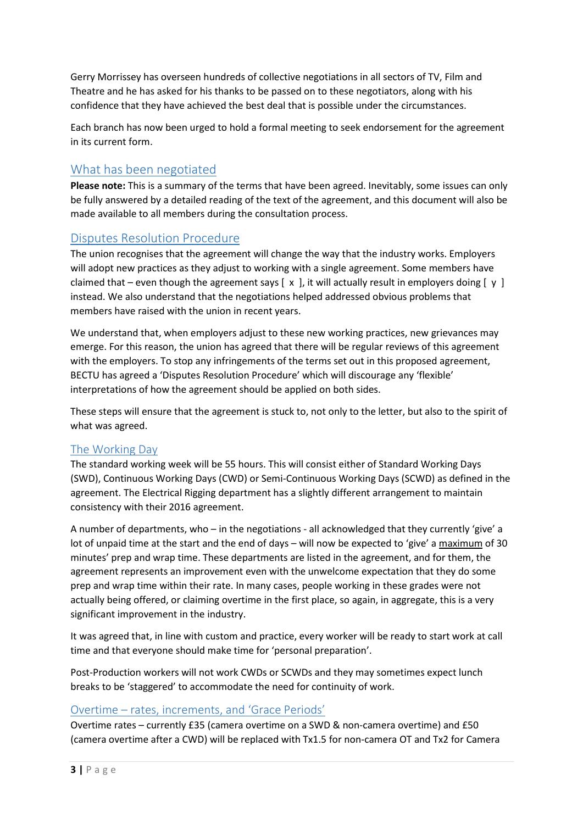Gerry Morrissey has overseen hundreds of collective negotiations in all sectors of TV, Film and Theatre and he has asked for his thanks to be passed on to these negotiators, along with his confidence that they have achieved the best deal that is possible under the circumstances.

Each branch has now been urged to hold a formal meeting to seek endorsement for the agreement in its current form.

## What has been negotiated

**Please note:** This is a summary of the terms that have been agreed. Inevitably, some issues can only be fully answered by a detailed reading of the text of the agreement, and this document will also be made available to all members during the consultation process.

# Disputes Resolution Procedure

The union recognises that the agreement will change the way that the industry works. Employers will adopt new practices as they adjust to working with a single agreement. Some members have claimed that – even though the agreement says  $[x, y]$ , it will actually result in employers doing  $[y, y]$ instead. We also understand that the negotiations helped addressed obvious problems that members have raised with the union in recent years.

We understand that, when employers adjust to these new working practices, new grievances may emerge. For this reason, the union has agreed that there will be regular reviews of this agreement with the employers. To stop any infringements of the terms set out in this proposed agreement, BECTU has agreed a 'Disputes Resolution Procedure' which will discourage any 'flexible' interpretations of how the agreement should be applied on both sides.

These steps will ensure that the agreement is stuck to, not only to the letter, but also to the spirit of what was agreed.

#### The Working Day

The standard working week will be 55 hours. This will consist either of Standard Working Days (SWD), Continuous Working Days (CWD) or Semi-Continuous Working Days (SCWD) as defined in the agreement. The Electrical Rigging department has a slightly different arrangement to maintain consistency with their 2016 agreement.

A number of departments, who – in the negotiations - all acknowledged that they currently 'give' a lot of unpaid time at the start and the end of days – will now be expected to 'give' a maximum of 30 minutes' prep and wrap time. These departments are listed in the agreement, and for them, the agreement represents an improvement even with the unwelcome expectation that they do some prep and wrap time within their rate. In many cases, people working in these grades were not actually being offered, or claiming overtime in the first place, so again, in aggregate, this is a very significant improvement in the industry.

It was agreed that, in line with custom and practice, every worker will be ready to start work at call time and that everyone should make time for 'personal preparation'.

Post-Production workers will not work CWDs or SCWDs and they may sometimes expect lunch breaks to be 'staggered' to accommodate the need for continuity of work.

#### Overtime – rates, increments, and 'Grace Periods'

Overtime rates – currently £35 (camera overtime on a SWD & non-camera overtime) and £50 (camera overtime after a CWD) will be replaced with Tx1.5 for non-camera OT and Tx2 for Camera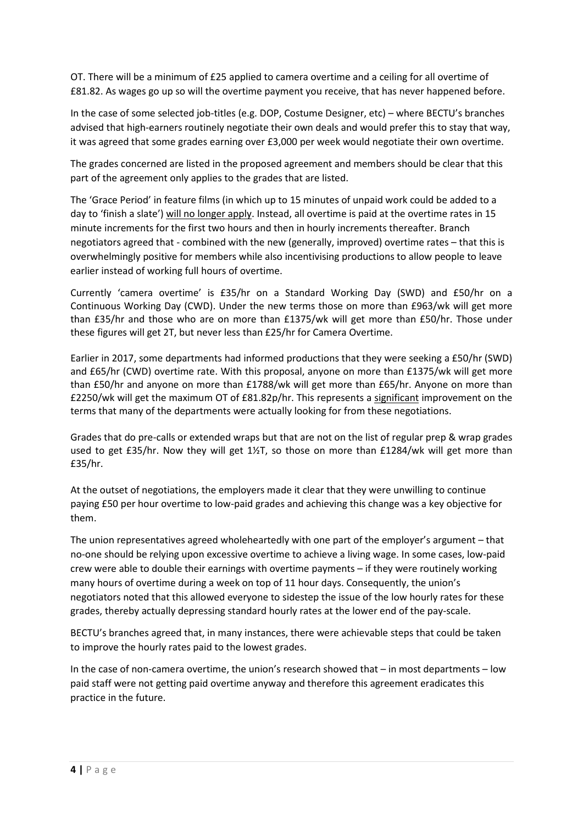OT. There will be a minimum of £25 applied to camera overtime and a ceiling for all overtime of £81.82. As wages go up so will the overtime payment you receive, that has never happened before.

In the case of some selected job-titles (e.g. DOP, Costume Designer, etc) – where BECTU's branches advised that high-earners routinely negotiate their own deals and would prefer this to stay that way, it was agreed that some grades earning over £3,000 per week would negotiate their own overtime.

The grades concerned are listed in the proposed agreement and members should be clear that this part of the agreement only applies to the grades that are listed.

The 'Grace Period' in feature films (in which up to 15 minutes of unpaid work could be added to a day to 'finish a slate') will no longer apply. Instead, all overtime is paid at the overtime rates in 15 minute increments for the first two hours and then in hourly increments thereafter. Branch negotiators agreed that - combined with the new (generally, improved) overtime rates – that this is overwhelmingly positive for members while also incentivising productions to allow people to leave earlier instead of working full hours of overtime.

Currently 'camera overtime' is £35/hr on a Standard Working Day (SWD) and £50/hr on a Continuous Working Day (CWD). Under the new terms those on more than £963/wk will get more than £35/hr and those who are on more than £1375/wk will get more than £50/hr. Those under these figures will get 2T, but never less than £25/hr for Camera Overtime.

Earlier in 2017, some departments had informed productions that they were seeking a £50/hr (SWD) and £65/hr (CWD) overtime rate. With this proposal, anyone on more than £1375/wk will get more than £50/hr and anyone on more than £1788/wk will get more than £65/hr. Anyone on more than £2250/wk will get the maximum OT of £81.82p/hr. This represents a significant improvement on the terms that many of the departments were actually looking for from these negotiations.

Grades that do pre-calls or extended wraps but that are not on the list of regular prep & wrap grades used to get £35/hr. Now they will get 1½T, so those on more than £1284/wk will get more than £35/hr.

At the outset of negotiations, the employers made it clear that they were unwilling to continue paying £50 per hour overtime to low-paid grades and achieving this change was a key objective for them.

The union representatives agreed wholeheartedly with one part of the employer's argument – that no-one should be relying upon excessive overtime to achieve a living wage. In some cases, low-paid crew were able to double their earnings with overtime payments – if they were routinely working many hours of overtime during a week on top of 11 hour days. Consequently, the union's negotiators noted that this allowed everyone to sidestep the issue of the low hourly rates for these grades, thereby actually depressing standard hourly rates at the lower end of the pay-scale.

BECTU's branches agreed that, in many instances, there were achievable steps that could be taken to improve the hourly rates paid to the lowest grades.

In the case of non-camera overtime, the union's research showed that – in most departments – low paid staff were not getting paid overtime anyway and therefore this agreement eradicates this practice in the future.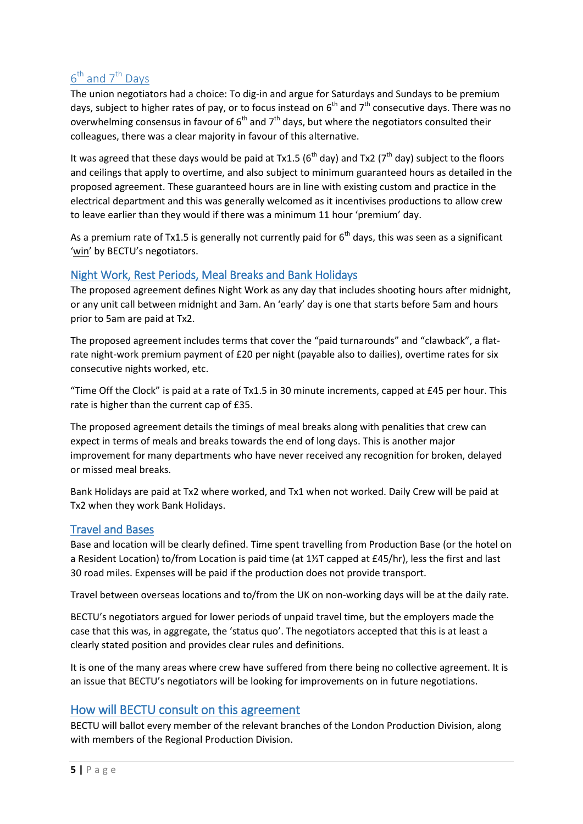# $6<sup>th</sup>$  and  $7<sup>th</sup>$  Days

The union negotiators had a choice: To dig-in and argue for Saturdays and Sundays to be premium days, subject to higher rates of pay, or to focus instead on  $6<sup>th</sup>$  and  $7<sup>th</sup>$  consecutive days. There was no overwhelming consensus in favour of  $6<sup>th</sup>$  and  $7<sup>th</sup>$  days, but where the negotiators consulted their colleagues, there was a clear majority in favour of this alternative.

It was agreed that these days would be paid at Tx1.5 ( $6<sup>th</sup>$  day) and Tx2 ( $7<sup>th</sup>$  day) subject to the floors and ceilings that apply to overtime, and also subject to minimum guaranteed hours as detailed in the proposed agreement. These guaranteed hours are in line with existing custom and practice in the electrical department and this was generally welcomed as it incentivises productions to allow crew to leave earlier than they would if there was a minimum 11 hour 'premium' day.

As a premium rate of Tx1.5 is generally not currently paid for  $6<sup>th</sup>$  days, this was seen as a significant 'win' by BECTU's negotiators.

#### Night Work, Rest Periods, Meal Breaks and Bank Holidays

The proposed agreement defines Night Work as any day that includes shooting hours after midnight, or any unit call between midnight and 3am. An 'early' day is one that starts before 5am and hours prior to 5am are paid at Tx2.

The proposed agreement includes terms that cover the "paid turnarounds" and "clawback", a flatrate night-work premium payment of £20 per night (payable also to dailies), overtime rates for six consecutive nights worked, etc.

"Time Off the Clock" is paid at a rate of Tx1.5 in 30 minute increments, capped at £45 per hour. This rate is higher than the current cap of £35.

The proposed agreement details the timings of meal breaks along with penalities that crew can expect in terms of meals and breaks towards the end of long days. This is another major improvement for many departments who have never received any recognition for broken, delayed or missed meal breaks.

Bank Holidays are paid at Tx2 where worked, and Tx1 when not worked. Daily Crew will be paid at Tx2 when they work Bank Holidays.

## Travel and Bases

Base and location will be clearly defined. Time spent travelling from Production Base (or the hotel on a Resident Location) to/from Location is paid time (at 1½T capped at £45/hr), less the first and last 30 road miles. Expenses will be paid if the production does not provide transport.

Travel between overseas locations and to/from the UK on non-working days will be at the daily rate.

BECTU's negotiators argued for lower periods of unpaid travel time, but the employers made the case that this was, in aggregate, the 'status quo'. The negotiators accepted that this is at least a clearly stated position and provides clear rules and definitions.

It is one of the many areas where crew have suffered from there being no collective agreement. It is an issue that BECTU's negotiators will be looking for improvements on in future negotiations.

## How will BECTU consult on this agreement

BECTU will ballot every member of the relevant branches of the London Production Division, along with members of the Regional Production Division.